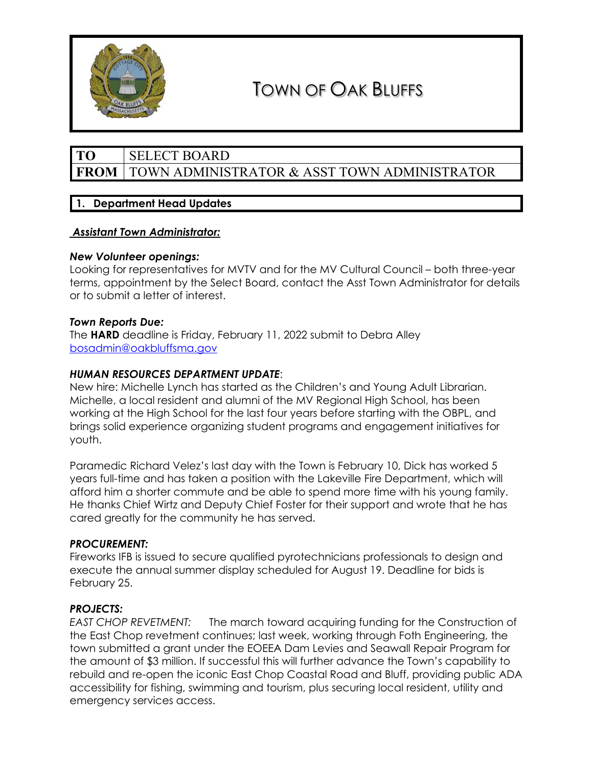

# TOWN OF OAK BLUFFS

# **TO** SELECT BOARD **FROM** TOWN ADMINISTRATOR & ASST TOWN ADMINISTRATOR

# **1. Department Head Updates**

## *Assistant Town Administrator:*

## *New Volunteer openings:*

Looking for representatives for MVTV and for the MV Cultural Council – both three-year terms, appointment by the Select Board, contact the Asst Town Administrator for details or to submit a letter of interest.

## *Town Reports Due:*

The **HARD** deadline is Friday, February 11, 2022 submit to Debra Alley [bosadmin@oakbluffsma.gov](mailto:abutler@oakbluffsma.gov)

## *HUMAN RESOURCES DEPARTMENT UPDATE*:

New hire: Michelle Lynch has started as the Children's and Young Adult Librarian. Michelle, a local resident and alumni of the MV Regional High School, has been working at the High School for the last four years before starting with the OBPL, and brings solid experience organizing student programs and engagement initiatives for youth.

Paramedic Richard Velez's last day with the Town is February 10, Dick has worked 5 years full-time and has taken a position with the Lakeville Fire Department, which will afford him a shorter commute and be able to spend more time with his young family. He thanks Chief Wirtz and Deputy Chief Foster for their support and wrote that he has cared greatly for the community he has served.

### *PROCUREMENT:*

Fireworks IFB is issued to secure qualified pyrotechnicians professionals to design and execute the annual summer display scheduled for August 19. Deadline for bids is February 25.

### *PROJECTS:*

*EAST CHOP REVETMENT:* The march toward acquiring funding for the Construction of the East Chop revetment continues; last week, working through Foth Engineering, the town submitted a grant under the EOEEA Dam Levies and Seawall Repair Program for the amount of \$3 million. If successful this will further advance the Town's capability to rebuild and re-open the iconic East Chop Coastal Road and Bluff, providing public ADA accessibility for fishing, swimming and tourism, plus securing local resident, utility and emergency services access.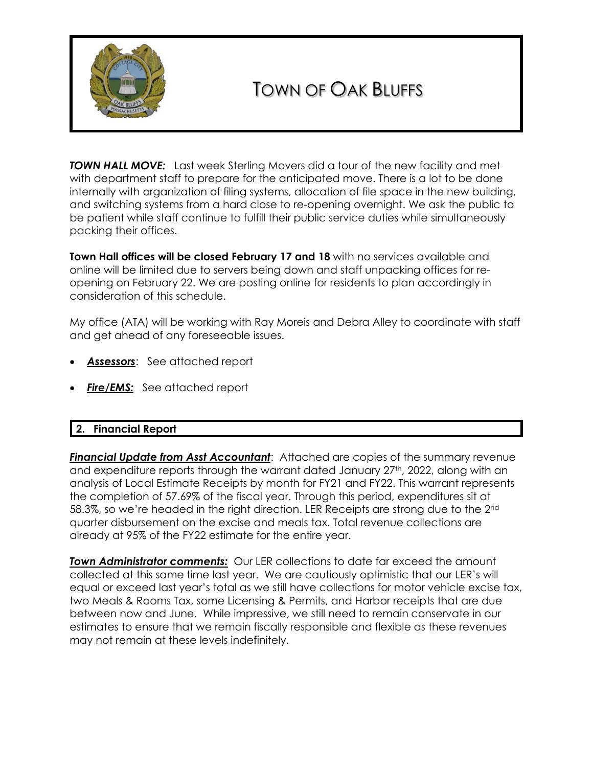

# TOWN OF OAK BLUFFS

**TOWN HALL MOVE:** Last week Sterling Movers did a tour of the new facility and met with department staff to prepare for the anticipated move. There is a lot to be done internally with organization of filing systems, allocation of file space in the new building, and switching systems from a hard close to re-opening overnight. We ask the public to be patient while staff continue to fulfill their public service duties while simultaneously packing their offices.

**Town Hall offices will be closed February 17 and 18** with no services available and online will be limited due to servers being down and staff unpacking offices for reopening on February 22. We are posting online for residents to plan accordingly in consideration of this schedule.

My office (ATA) will be working with Ray Moreis and Debra Alley to coordinate with staff and get ahead of any foreseeable issues.

- *Assessors*: See attached report
- *Fire/EMS:* See attached report

# **2. Financial Report**

*Financial Update from Asst Accountant*: Attached are copies of the summary revenue and expenditure reports through the warrant dated January 27<sup>th</sup>, 2022, along with an analysis of Local Estimate Receipts by month for FY21 and FY22. This warrant represents the completion of 57.69% of the fiscal year. Through this period, expenditures sit at 58.3%, so we're headed in the right direction. LER Receipts are strong due to the 2nd quarter disbursement on the excise and meals tax. Total revenue collections are already at 95% of the FY22 estimate for the entire year.

*Town Administrator comments:* Our LER collections to date far exceed the amount collected at this same time last year. We are cautiously optimistic that our LER's will equal or exceed last year's total as we still have collections for motor vehicle excise tax, two Meals & Rooms Tax, some Licensing & Permits, and Harbor receipts that are due between now and June. While impressive, we still need to remain conservate in our estimates to ensure that we remain fiscally responsible and flexible as these revenues may not remain at these levels indefinitely.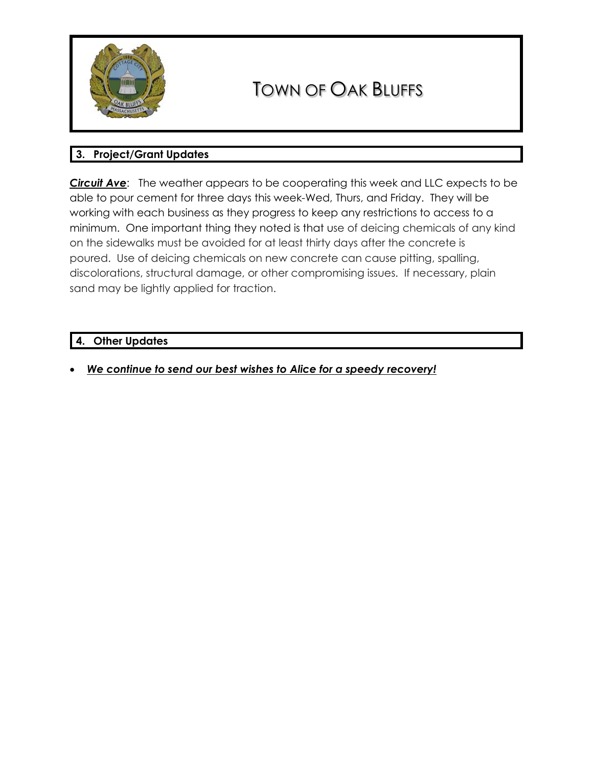

# TOWN OF OAK BLUFFS

# **3. Project/Grant Updates**

*Circuit Ave*: The weather appears to be cooperating this week and LLC expects to be able to pour cement for three days this week-Wed, Thurs, and Friday. They will be working with each business as they progress to keep any restrictions to access to a minimum. One important thing they noted is that use of deicing chemicals of any kind on the sidewalks must be avoided for at least thirty days after the concrete is poured. Use of deicing chemicals on new concrete can cause pitting, spalling, discolorations, structural damage, or other compromising issues. If necessary, plain sand may be lightly applied for traction.

## **4. Other Updates**

• *We continue to send our best wishes to Alice for a speedy recovery!*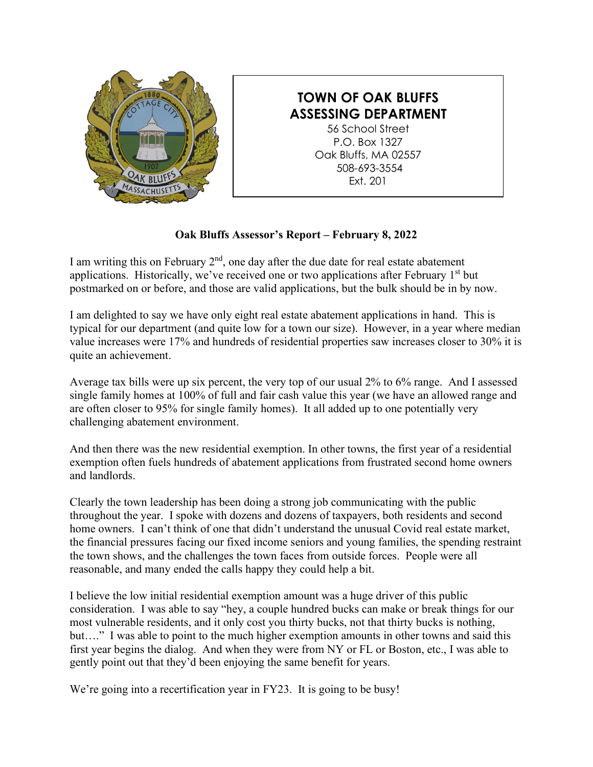

# **TOWN OF OAK BLUFFS ASSESSING DEPARTMENT**

56 School Street P.O. Box 1327 Oak Bluffs, MA 02557 508-693-3554 Ext. 201

# **Oak Bluffs Assessor's Report – February 8, 2022**

I am writing this on February  $2<sup>nd</sup>$ , one day after the due date for real estate abatement applications. Historically, we've received one or two applications after February  $1<sup>st</sup>$  but postmarked on or before, and those are valid applications, but the bulk should be in by now.

I am delighted to say we have only eight real estate abatement applications in hand. This is typical for our department (and quite low for a town our size). However, in a year where median value increases were 17% and hundreds of residential properties saw increases closer to 30% it is quite an achievement.

Average tax bills were up six percent, the very top of our usual 2% to 6% range. And I assessed single family homes at 100% of full and fair cash value this year (we have an allowed range and are often closer to 95% for single family homes). It all added up to one potentially very challenging abatement environment.

And then there was the new residential exemption. In other towns, the first year of a residential exemption often fuels hundreds of abatement applications from frustrated second home owners and landlords.

Clearly the town leadership has been doing a strong job communicating with the public throughout the year. I spoke with dozens and dozens of taxpayers, both residents and second home owners. I can't think of one that didn't understand the unusual Covid real estate market, the financial pressures facing our fixed income seniors and young families, the spending restraint the town shows, and the challenges the town faces from outside forces. People were all reasonable, and many ended the calls happy they could help a bit.

I believe the low initial residential exemption amount was a huge driver of this public consideration. I was able to say "hey, a couple hundred bucks can make or break things for our most vulnerable residents, and it only cost you thirty bucks, not that thirty bucks is nothing, but…." I was able to point to the much higher exemption amounts in other towns and said this first year begins the dialog. And when they were from NY or FL or Boston, etc., I was able to gently point out that they'd been enjoying the same benefit for years.

We're going into a recertification year in FY23. It is going to be busy!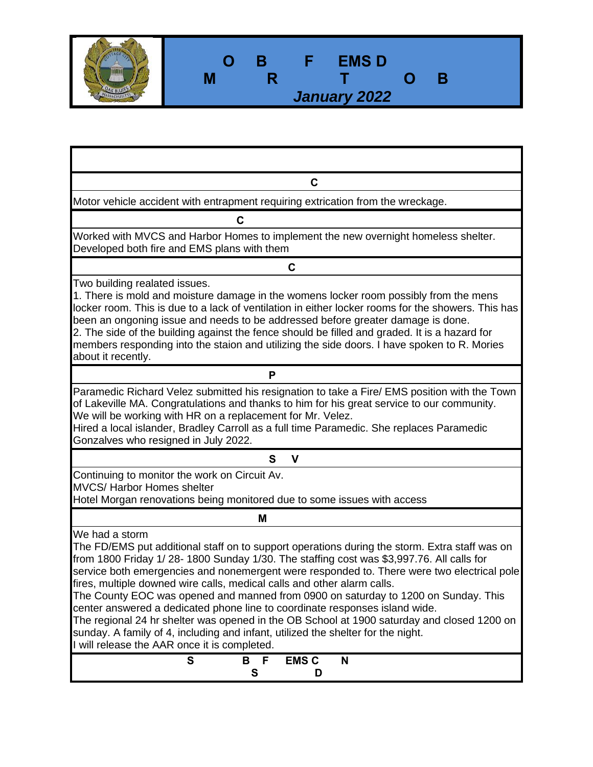| <b>EMSD</b><br>В<br><b>TEL</b><br>В<br>January 2022 |
|-----------------------------------------------------|
|                                                     |

1

Г

| C                                                                                                                                                                                                                                                                                                                                                                                                                                                                                                                                                                                                                                                                                                                                                                                          |  |  |  |  |  |  |  |  |
|--------------------------------------------------------------------------------------------------------------------------------------------------------------------------------------------------------------------------------------------------------------------------------------------------------------------------------------------------------------------------------------------------------------------------------------------------------------------------------------------------------------------------------------------------------------------------------------------------------------------------------------------------------------------------------------------------------------------------------------------------------------------------------------------|--|--|--|--|--|--|--|--|
| Motor vehicle accident with entrapment requiring extrication from the wreckage.                                                                                                                                                                                                                                                                                                                                                                                                                                                                                                                                                                                                                                                                                                            |  |  |  |  |  |  |  |  |
| C                                                                                                                                                                                                                                                                                                                                                                                                                                                                                                                                                                                                                                                                                                                                                                                          |  |  |  |  |  |  |  |  |
| Worked with MVCS and Harbor Homes to implement the new overnight homeless shelter.<br>Developed both fire and EMS plans with them                                                                                                                                                                                                                                                                                                                                                                                                                                                                                                                                                                                                                                                          |  |  |  |  |  |  |  |  |
| $\mathbf C$                                                                                                                                                                                                                                                                                                                                                                                                                                                                                                                                                                                                                                                                                                                                                                                |  |  |  |  |  |  |  |  |
| Two building realated issues.<br>1. There is mold and moisture damage in the womens locker room possibly from the mens<br>locker room. This is due to a lack of ventilation in either locker rooms for the showers. This has<br>been an ongoning issue and needs to be addressed before greater damage is done.<br>2. The side of the building against the fence should be filled and graded. It is a hazard for<br>members responding into the staion and utilizing the side doors. I have spoken to R. Mories<br>about it recently.                                                                                                                                                                                                                                                      |  |  |  |  |  |  |  |  |
| P                                                                                                                                                                                                                                                                                                                                                                                                                                                                                                                                                                                                                                                                                                                                                                                          |  |  |  |  |  |  |  |  |
| Paramedic Richard Velez submitted his resignation to take a Fire/ EMS position with the Town<br>of Lakeville MA. Congratulations and thanks to him for his great service to our community.<br>We will be working with HR on a replacement for Mr. Velez.<br>Hired a local islander, Bradley Carroll as a full time Paramedic. She replaces Paramedic<br>Gonzalves who resigned in July 2022.                                                                                                                                                                                                                                                                                                                                                                                               |  |  |  |  |  |  |  |  |
| S<br>V                                                                                                                                                                                                                                                                                                                                                                                                                                                                                                                                                                                                                                                                                                                                                                                     |  |  |  |  |  |  |  |  |
| Continuing to monitor the work on Circuit Av.<br><b>MVCS/ Harbor Homes shelter</b><br>Hotel Morgan renovations being monitored due to some issues with access                                                                                                                                                                                                                                                                                                                                                                                                                                                                                                                                                                                                                              |  |  |  |  |  |  |  |  |
| М                                                                                                                                                                                                                                                                                                                                                                                                                                                                                                                                                                                                                                                                                                                                                                                          |  |  |  |  |  |  |  |  |
| We had a storm<br>The FD/EMS put additional staff on to support operations during the storm. Extra staff was on<br>from 1800 Friday 1/28-1800 Sunday 1/30. The staffing cost was \$3,997.76. All calls for<br>service both emergencies and nonemergent were responded to. There were two electrical pole<br>fires, multiple downed wire calls, medical calls and other alarm calls.<br>The County EOC was opened and manned from 0900 on saturday to 1200 on Sunday. This<br>center answered a dedicated phone line to coordinate responses island wide.<br>The regional 24 hr shelter was opened in the OB School at 1900 saturday and closed 1200 on<br>sunday. A family of 4, including and infant, utilized the shelter for the night.<br>I will release the AAR once it is completed. |  |  |  |  |  |  |  |  |
| S<br><b>EMS C</b><br>B<br>- F<br>N<br>S<br>D                                                                                                                                                                                                                                                                                                                                                                                                                                                                                                                                                                                                                                                                                                                                               |  |  |  |  |  |  |  |  |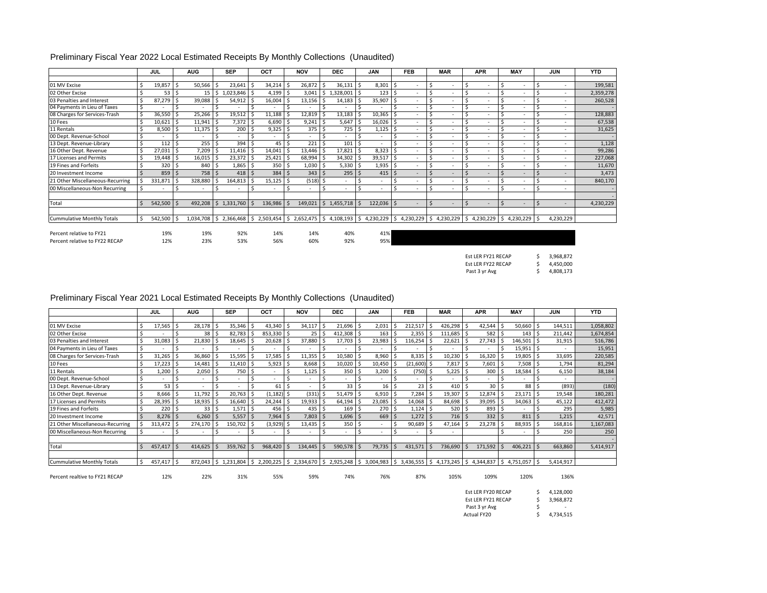#### Preliminary Fiscal Year 2022 Local Estimated Receipts By Monthly Collections (Unaudited)

|                                   |    | JUL              |                    | <b>AUG</b>               |      | <b>SEP</b>             |     | OCT     |     | <b>NOV</b>       | <b>DEC</b>                       |    | <b>JAN</b>               |     | <b>FEB</b>                                      |         | <b>MAR</b>               |     | <b>APR</b>               |          | <b>MAY</b> |    | <b>JUN</b>               | <b>YTD</b> |
|-----------------------------------|----|------------------|--------------------|--------------------------|------|------------------------|-----|---------|-----|------------------|----------------------------------|----|--------------------------|-----|-------------------------------------------------|---------|--------------------------|-----|--------------------------|----------|------------|----|--------------------------|------------|
|                                   |    |                  |                    |                          |      |                        |     |         |     |                  |                                  |    |                          |     |                                                 |         |                          |     |                          |          |            |    |                          |            |
| 01 MV Excise                      |    | 19,857           |                    | 50,566                   |      | 23,641                 |     | 34,214  | .S  | 26,872           | 36,131<br>Ŝ                      | Ŝ. | $8,301$ \$               |     | ٠                                               | Ś       | ٠                        |     |                          | .S       |            |    | ٠                        | 199,581    |
| 02 Other Excise                   |    | 53 <sub>1</sub>  |                    | 15                       |      | 1,023,846              |     | 4,199   |     | 3,041            | \$.<br>1,328,001<br>$\mathbf{1}$ |    | 123 <sup>5</sup>         |     |                                                 |         | ۰                        |     |                          |          |            |    | $\overline{\phantom{a}}$ | 2,359,278  |
| 03 Penalties and Interest         |    | 87,279           |                    | 39,088                   |      | 54,912                 |     | 16,004  |     | 13,156           | 14,183                           |    | 35,907                   |     |                                                 | Ś       | ٠                        |     | $\overline{\phantom{a}}$ |          |            |    | ٠                        | 260,528    |
| 04 Payments in Lieu of Taxes      |    |                  |                    |                          |      |                        |     |         |     |                  |                                  |    |                          |     |                                                 |         | ۰                        |     |                          |          |            |    | $\sim$                   |            |
| 08 Charges for Services-Trash     | Ŝ. | 36,550           |                    | 25,266                   |      | 19,512                 |     | 11,188  |     | 12,819           | 13,183                           |    | 10,365                   |     |                                                 |         | $\overline{\phantom{a}}$ |     |                          |          |            |    | $\sim$                   | 128,883    |
| 10 Fees                           |    | 10,621           |                    | 11,941                   | -S   | 7,372                  |     | 6,690   |     | 9,241            | 5,647<br>. I S                   | Ŝ. | 16,026                   |     |                                                 |         | $\overline{\phantom{a}}$ |     |                          |          |            |    | $\sim$                   | 67,538     |
| 11 Rentals                        |    | 8,500            |                    | 11,375                   |      | 200                    |     | 9,325   |     | 375 <sup>5</sup> | 725                              |    | 1,125                    |     |                                                 |         | $\overline{\phantom{a}}$ |     |                          |          |            |    | $\overline{\phantom{a}}$ | 31,625     |
| 00 Dept. Revenue-School           |    |                  |                    |                          |      |                        |     |         | -S  |                  |                                  |    |                          |     |                                                 |         | ۰                        |     |                          |          |            |    | $\overline{\phantom{a}}$ |            |
| 13 Dept. Revenue-Library          |    | 112              |                    | 255                      |      | 394                    |     | 45      |     | 221              | 101                              |    |                          |     |                                                 |         | $\overline{\phantom{a}}$ |     |                          |          |            |    | $\sim$                   | 1,128      |
| 16 Other Dept. Revenue            |    | 27,031           |                    | 7,209                    |      | 11,416                 |     | 14,041  |     | 13,446           | 17,821                           | Ŝ. | 8,323                    |     |                                                 |         | ۰                        |     |                          |          |            |    | $\overline{\phantom{a}}$ | 99,286     |
| 17 Licenses and Permits           |    | 19,448           |                    | 16,015                   |      | 23,372                 |     | 25,421  |     | 68,994           | 34,302<br>۱s                     |    | 39,517                   |     |                                                 |         | ۰                        |     |                          |          |            |    | $\overline{\phantom{a}}$ | 227,068    |
| 19 Fines and Forfeits             |    | 320 <sub>5</sub> |                    | 840                      | ı s  | 1,865                  |     | 350     |     | 1,030            | 5,330<br>-Ś                      |    | 1,935                    | ı s |                                                 |         | $\overline{\phantom{a}}$ |     |                          |          |            |    | $\overline{\phantom{a}}$ | 11,670     |
| 20 Investment Income              |    | 859              | $\ddot{\varsigma}$ | 758 \$                   |      | 418                    | I S | 384     |     | $343 \,$ \$      | 295                              | -Ś | $415$ \$                 |     |                                                 |         | $\overline{\phantom{a}}$ |     | $\overline{\phantom{a}}$ |          |            |    | $\sim$                   | 3,473      |
| 21 Other Miscellaneous-Recurring  |    | 331,871          |                    | 328,880                  |      | 164,813                |     | 15,125  |     | (518)            | .s<br>$\sim$                     |    | $\overline{\phantom{a}}$ |     | ٠                                               |         | $\overline{\phantom{a}}$ |     | $\overline{\phantom{a}}$ |          |            |    | ٠                        | 840,170    |
| 00 Miscellaneous-Non Recurring    |    |                  |                    | $\overline{\phantom{a}}$ |      |                        |     |         | .\$ |                  | Ś<br>$\overline{\phantom{a}}$    |    |                          |     |                                                 |         | ۰                        |     |                          |          |            |    | $\sim$                   |            |
|                                   |    |                  |                    |                          |      |                        |     |         |     |                  |                                  |    |                          |     |                                                 |         |                          |     |                          |          |            |    |                          |            |
| Total                             |    | 542,500          |                    | 492,208                  | S.   | 1,331,760              |     | 136,986 |     | 149,021          | \$1,455,718                      |    | $122,036$ \$             |     | ٠                                               | $\zeta$ | $\overline{\phantom{a}}$ |     | $\overline{a}$           | <b>S</b> |            |    | $\sim$                   | 4,230,229  |
|                                   |    |                  |                    |                          |      |                        |     |         |     |                  |                                  |    |                          |     |                                                 |         |                          |     |                          |          |            |    |                          |            |
| <b>Cummulative Monthly Totals</b> |    | 542,500          |                    | 1,034,708                | l \$ | 2,366,468 \$ 2,503,454 |     |         |     |                  | $$2,652,475$ $$4,108,193$        | \$ | 4,230,229                |     | $\frac{1}{2}$ 4,230,229 $\frac{1}{2}$ 4,230,229 |         |                          | I\$ | $4,230,229$ \$           |          | 4,230,229  | .s | 4,230,229                |            |
|                                   |    |                  |                    |                          |      |                        |     |         |     |                  |                                  |    |                          |     |                                                 |         |                          |     |                          |          |            |    |                          |            |
| Percent relative to FY21          |    | 19%              |                    | 19%                      |      | 92%                    |     | 14%     |     | 14%              | 40%                              |    | 41%                      |     |                                                 |         |                          |     |                          |          |            |    |                          |            |
| Percent relative to FY22 RECAP    |    | 12%              |                    | 23%                      |      | 53%                    |     | 56%     |     | 60%              | 92%                              |    | 95%                      |     |                                                 |         |                          |     |                          |          |            |    |                          |            |

| Est LER FY21 RECAP | 3.968.872 |
|--------------------|-----------|
| Est LER FY22 RECAP | 4.450.000 |
| Past 3 yr Avg      | 4.808.173 |

#### Preliminary Fiscal Year 2021 Local Estimated Receipts By Monthly Collections (Unaudited)

|                                  |  | JUL     |  |                          |     |              |            |                                                                                               |       |                          |             | <b>AUG</b> |            | <b>SEP</b>   | OCT                      | <b>NOV</b> |         | <b>DEC</b>                 |           | <b>JAN</b> | <b>FEB</b> |  | <b>MAR</b> |  | <b>APR</b> | <b>MAY</b> | <b>JUN</b> | <b>YTD</b> |
|----------------------------------|--|---------|--|--------------------------|-----|--------------|------------|-----------------------------------------------------------------------------------------------|-------|--------------------------|-------------|------------|------------|--------------|--------------------------|------------|---------|----------------------------|-----------|------------|------------|--|------------|--|------------|------------|------------|------------|
|                                  |  |         |  |                          |     |              |            |                                                                                               |       |                          |             |            |            |              |                          |            |         |                            |           |            |            |  |            |  |            |            |            |            |
| 01 MV Excise                     |  | 17,565  |  | 28,178                   |     | $35,346$ \$  | 43,340     | 34,117                                                                                        |       | 21,696                   | Ŝ.          | 2,031      | 212,517    |              | 426,298                  |            | 42,544  | 50,660 \$                  | 144,511   | 1,058,802  |            |  |            |  |            |            |            |            |
| 02 Other Excise                  |  |         |  | 38                       | د.  | 82,783       | 853,330 \$ | 25                                                                                            |       | 412,308                  |             | 163        | 2,355      | -Ś           | 111,685                  |            | 582     | 143S                       | 211,442   | 1,674,854  |            |  |            |  |            |            |            |            |
| 03 Penalties and Interest        |  | 31,083  |  | 21,830                   |     | $18,645$ \$  | 20,628     | 37,880                                                                                        |       | 17,703                   |             | 23,983     | 116,254    | -S           | 22,621                   |            | 27,743  | 146,501                    | 31,915    | 516,786    |            |  |            |  |            |            |            |            |
| 04 Payments in Lieu of Taxes     |  |         |  | $\overline{\phantom{a}}$ |     |              |            |                                                                                               |       |                          |             |            |            |              |                          |            |         | 15,951                     | $\sim$    | 15,951     |            |  |            |  |            |            |            |            |
| 08 Charges for Services-Trash    |  | 31,265  |  | 36,860                   |     | 15,595       | 17,585     | 11,355                                                                                        |       | 10,580                   |             | 8,960      | 8,335      |              | 10,230                   |            | 16,320  | $19,805$ \$                | 33,695    | 220,585    |            |  |            |  |            |            |            |            |
| 10 Fees                          |  | 17,223  |  | 14,481                   |     | 11,410 \$    | 5,923      | 8,668                                                                                         | - IS- | 10,020                   |             | 10,450     | (21,600)   |              | 7,817                    |            | 7,601   | 7,508                      | 1,794     | 81,294     |            |  |            |  |            |            |            |            |
| 11 Rentals                       |  | 1,200   |  | 2,050                    | l S | 750 \$       |            | 1,125                                                                                         | .S    | 350                      | s           | 3,200      | $(750)$ \$ |              | 5,225                    |            | 300     | 18,584                     | 6,150     | 38,184     |            |  |            |  |            |            |            |            |
| 00 Dept. Revenue-School          |  |         |  | $\overline{\phantom{a}}$ |     |              |            | $\overline{\phantom{a}}$                                                                      |       | $\sim$                   |             | ۰          |            | <sup>5</sup> | $\overline{\phantom{a}}$ |            | $\sim$  |                            | $\sim$    |            |            |  |            |  |            |            |            |            |
| 13 Dept. Revenue-Library         |  | 53      |  |                          |     |              | 61         |                                                                                               |       | 33                       |             | 16         | 23         |              | 410                      |            | 30      | 88                         | (893)     | (180)      |            |  |            |  |            |            |            |            |
| 16 Other Dept. Revenue           |  | 8,666   |  | 11,792                   |     | 20,763       | (1, 182)   | (331)                                                                                         |       | 51,479                   |             | 6,910      | 7,284      | -Ś           | 19,307                   |            | 12,874  | 23,171                     | 19,548    | 180,281    |            |  |            |  |            |            |            |            |
| 17 Licenses and Permits          |  | 28,395  |  | 18,935                   |     | 16,640       | 24,244     | 19,933                                                                                        |       | 64,194                   | S           | 23,085     | 14,068     |              | 84,698                   |            | 39,095  | 34,063                     | 45,122    | 412,472    |            |  |            |  |            |            |            |            |
| 19 Fines and Forfeits            |  | 220     |  | 33                       |     | $1,571$ \$   | 456        | 435                                                                                           | .S    | 169 <sup>5</sup>         |             | 270        | 1,124      |              | 520                      |            | 893 \$  |                            | 295       | 5,985      |            |  |            |  |            |            |            |            |
| 20 Investment Income             |  | 8,276   |  | 6,260                    |     | 5,557        | 7,964      | $7,803$ \$                                                                                    |       | $1,696$ \$               |             | 669        | 1,272      |              | 716                      | -S         | 332     | 811                        | 1,215     | 42,571     |            |  |            |  |            |            |            |            |
| 21 Other Miscellaneous-Recurring |  | 313,472 |  | 274,170                  |     | 150.702      | (3,929)    | 13,435                                                                                        |       | 350 <sub>5</sub>         |             |            | 90,689     |              | 47,164                   |            | 23,278  | 88,935                     | 168,816   | 1,167,083  |            |  |            |  |            |            |            |            |
| 00 Miscellaneous-Non Recurring   |  |         |  | $\overline{\phantom{a}}$ |     |              |            | $\overline{\phantom{a}}$                                                                      |       | $\overline{\phantom{a}}$ |             |            |            | -Ś           | $\overline{\phantom{a}}$ |            |         |                            | 250       | 250        |            |  |            |  |            |            |            |            |
|                                  |  |         |  |                          |     |              |            |                                                                                               |       |                          |             |            |            |              |                          |            |         |                            |           |            |            |  |            |  |            |            |            |            |
| Total                            |  | 457,417 |  | 414,625                  |     | 359,762      | 968,420    | 134,445                                                                                       |       | 590,578                  | $\varsigma$ | 79,735     | 431,571    |              | 736,690                  |            | 171,592 | $406,221$ \$               | 663,860   | 5,414,917  |            |  |            |  |            |            |            |            |
|                                  |  |         |  |                          |     |              |            |                                                                                               |       |                          |             |            |            |              |                          |            |         |                            |           |            |            |  |            |  |            |            |            |            |
| Cummulative Monthly Totals       |  | 457,417 |  | 872,043                  | S.  | 1,231,804 \$ |            | 2,200,225 \,\$2,334,670 \,\$2,925,248 \,\$3,004,983 \,\$3,436,555 \,\$4,173,245 \,\$4,344,837 |       |                          |             |            |            |              |                          |            |         | $\frac{1}{2}$ 4,751,057 \$ | 5,414,917 |            |            |  |            |  |            |            |            |            |

Percent realtive to FY21 RECAP 12% 22% 31% 55% 59% 74% 76% 87% 105% 109% 120% 136%

| Est LER FY20 RECAP |   | 4.128.000 |
|--------------------|---|-----------|
| Est LER FY21 RECAP |   | 3.968.872 |
| Past 3 yr Avg      | S |           |
| Actual FY20        |   | 4,734,515 |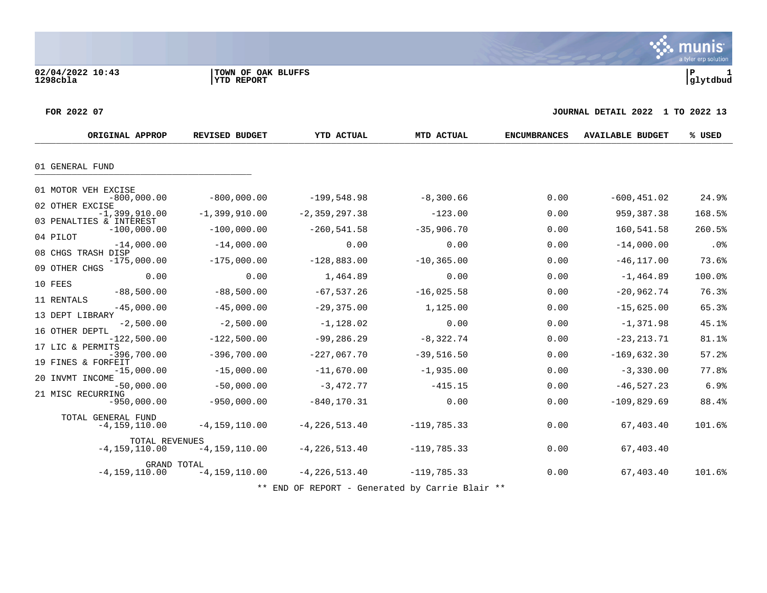a tyler erp solution

munis

#### **FOR 2022 07 JOURNAL DETAIL 2022 1 TO 2022 13**

|          | ORIGINAL APPROP                          | <b>REVISED BUDGET</b> | <b>YTD ACTUAL</b> | MTD ACTUAL    | <b>ENCUMBRANCES</b> | <b>AVAILABLE BUDGET</b> | % USED |
|----------|------------------------------------------|-----------------------|-------------------|---------------|---------------------|-------------------------|--------|
|          |                                          |                       |                   |               |                     |                         |        |
|          | 01 GENERAL FUND                          |                       |                   |               |                     |                         |        |
|          | 01 MOTOR VEH EXCISE                      |                       |                   |               |                     |                         |        |
|          | $-800,000.00$<br>02 OTHER EXCISE         | $-800,000.00$         | $-199,548.98$     | $-8,300.66$   | 0.00                | $-600, 451.02$          | 24.9%  |
|          | $-1,399,910.00$                          | $-1,399,910.00$       | $-2, 359, 297.38$ | $-123.00$     | 0.00                | 959, 387. 38            | 168.5% |
|          | 03 PENALTIES & INTEREST<br>$-100,000.00$ | $-100,000.00$         | $-260,541.58$     | $-35,906.70$  | 0.00                | 160,541.58              | 260.5% |
| 04 PILOT | $-14,000.00$                             | $-14,000.00$          | 0.00              | 0.00          | 0.00                | $-14,000.00$            | .0%    |
|          | 08 CHGS TRASH DISP<br>$-175,000.00$      | $-175,000.00$         | $-128,883.00$     | $-10, 365.00$ | 0.00                | $-46, 117.00$           | 73.6%  |
|          | 09 OTHER CHGS                            |                       |                   |               |                     |                         |        |
| 10 FEES  | 0.00                                     | 0.00                  | 1,464.89          | 0.00          | 0.00                | $-1, 464.89$            | 100.0% |
|          | $-88,500.00$<br>11 RENTALS               | $-88,500.00$          | $-67, 537.26$     | $-16,025.58$  | 0.00                | $-20,962.74$            | 76.3%  |
|          | $-45,000.00$                             | $-45,000.00$          | $-29, 375.00$     | 1,125.00      | 0.00                | $-15,625.00$            | 65.3%  |
|          | 13 DEPT LIBRARY<br>$-2,500.00$           | $-2,500.00$           | $-1,128.02$       | 0.00          | 0.00                | $-1, 371.98$            | 45.1%  |
|          | 16 OTHER DEPTL<br>$-122,500.00$          | $-122,500.00$         | $-99, 286.29$     | $-8,322.74$   | 0.00                | $-23, 213.71$           | 81.1%  |
|          | 17 LIC & PERMITS<br>$-396,700.00$        | $-396,700.00$         | $-227,067.70$     | $-39,516.50$  | 0.00                | $-169,632.30$           | 57.2%  |
|          | 19 FINES & FORFEIT<br>$-15,000.00$       | $-15,000.00$          | $-11,670.00$      | $-1,935.00$   | 0.00                | $-3,330.00$             | 77.8%  |
|          | 20 INVMT INCOME                          |                       |                   |               |                     |                         |        |
|          | $-50,000.00$<br>21 MISC RECURRING        | $-50,000.00$          | $-3,472.77$       | $-415.15$     | 0.00                | $-46, 527.23$           | 6.9%   |
|          | $-950,000.00$                            | $-950,000.00$         | $-840, 170.31$    | 0.00          | 0.00                | $-109,829.69$           | 88.4%  |
|          | TOTAL GENERAL FUND<br>$-4, 159, 110.00$  | $-4, 159, 110.00$     | $-4, 226, 513.40$ | $-119,785.33$ | 0.00                | 67,403.40               | 101.6% |
|          | TOTAL REVENUES<br>$-4, 159, 110.00$      | $-4, 159, 110.00$     | $-4, 226, 513.40$ | $-119,785.33$ | 0.00                | 67,403.40               |        |
|          | GRAND TOTAL<br>$-4, 159, 110.00$         | $-4, 159, 110.00$     | $-4, 226, 513.40$ | $-119,785.33$ | 0.00                | 67,403.40               | 101.6% |

\*\* END OF REPORT - Generated by Carrie Blair \*\*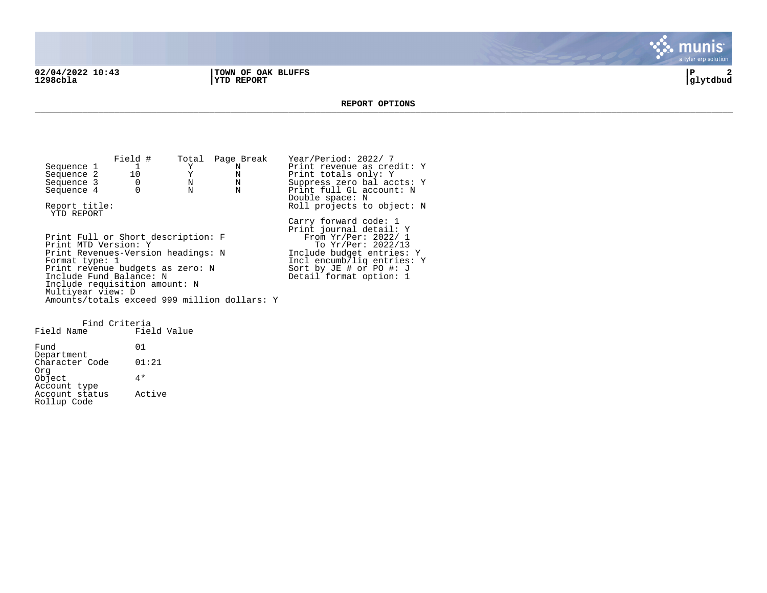**02/04/2022 10:43 |TOWN OF OAK BLUFFS |P 2 1298cbla |YTD REPORT |glytdbud**



**REPORT OPTIONS**  \_\_\_\_\_\_\_\_\_\_\_\_\_\_\_\_\_\_\_\_\_\_\_\_\_\_\_\_\_\_\_\_\_\_\_\_\_\_\_\_\_\_\_\_\_\_\_\_\_\_\_\_\_\_\_\_\_\_\_\_\_\_\_\_\_\_\_\_\_\_\_\_\_\_\_\_\_\_\_\_\_\_\_\_\_\_\_\_\_\_\_\_\_\_\_\_\_\_\_\_\_\_\_\_\_\_\_\_\_\_\_\_\_\_\_\_\_\_\_\_\_\_\_\_\_\_\_\_\_\_\_\_

Field # Total Page Break Year/Period: 2022/ 7<br>
1 Y N Print revenue as cree Sequence 1 1 Y N Print revenue as credit: Y<br>
Sequence 2 10 Y N Print totals only: Y Sequence 2 10 Y N Print totals only: Y<br>Sequence 3 0 N N Suppress zero balaco Sequence 3 0 0 N N Suppress zero bal accts: Y<br>Sequence 4 0 N N Print full GL account: N Print full GL account: N Double space: N Report title:  $Rol1$  projects to object: N YTD REPORT Carry forward code: 1 Print journal detail: Y Print Full or Short description: F<br>Print MTD Version: Y Print MTD Version: Y The Second To Yr/Per: 2022/13 Print Revenues-Version headings: N 1nclude budget entries: Y<br>Format type: 1 1ncl encumb/liq entries: Incl encumb/liq entries: Y<br>Sort by JE # or PO #: J Print revenue budgets as zero: N Sort by JE # or PO #: J Include Fund Balance: N New York Beasing Detail format option: 1 Include requisition amount: N Multiyear view: D Amounts/totals exceed 999 million dollars: Y

Find Criteria Field Name Fund 01 Department Character Code 01:21 Org Object 4\* Account type Account status Active Rollup Code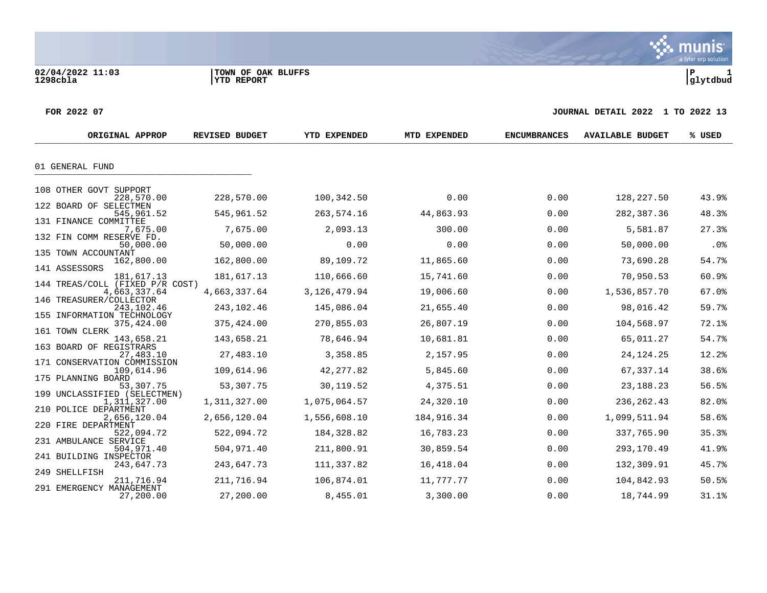**02/04/2022 11:03 |TOWN OF OAK BLUFFS |P 1**

#### **FOR 2022 07 JOURNAL DETAIL 2022 1 TO 2022 13**

| ORIGINAL APPROP                           | <b>REVISED BUDGET</b> | YTD EXPENDED   | MTD EXPENDED | <b>ENCUMBRANCES</b> | <b>AVAILABLE BUDGET</b> | % USED |
|-------------------------------------------|-----------------------|----------------|--------------|---------------------|-------------------------|--------|
| 01 GENERAL FUND                           |                       |                |              |                     |                         |        |
|                                           |                       |                |              |                     |                         |        |
| 108 OTHER GOVT SUPPORT                    |                       |                |              |                     |                         |        |
| 228,570.00                                | 228,570.00            | 100,342.50     | 0.00         | 0.00                | 128,227.50              | 43.9%  |
| 122 BOARD OF SELECTMEN<br>545,961.52      | 545,961.52            | 263,574.16     | 44,863.93    | 0.00                | 282,387.36              | 48.3%  |
| 131 FINANCE COMMITTEE                     |                       |                |              |                     |                         |        |
| 7,675.00<br>132 FIN COMM RESERVE FD.      | 7,675.00              | 2,093.13       | 300.00       | 0.00                | 5,581.87                | 27.3%  |
| 50,000.00                                 | 50,000.00             | 0.00           | 0.00         | 0.00                | 50,000.00               | .0%    |
| 135 TOWN ACCOUNTANT<br>162,800.00         | 162,800.00            | 89,109.72      | 11,865.60    | 0.00                | 73,690.28               | 54.7%  |
| 141 ASSESSORS<br>181,617.13               | 181,617.13            | 110,666.60     | 15,741.60    | 0.00                | 70,950.53               | 60.9%  |
| 144 TREAS/COLL (FIXED P/R COST)           |                       |                |              |                     |                         |        |
| 4,663,337.64<br>146 TREASURER/COLLECTOR   | 4,663,337.64          | 3, 126, 479.94 | 19,006.60    | 0.00                | 1,536,857.70            | 67.0%  |
| 243,102.46                                | 243,102.46            | 145,086.04     | 21,655.40    | 0.00                | 98,016.42               | 59.7%  |
| 155 INFORMATION TECHNOLOGY<br>375,424.00  | 375,424.00            | 270,855.03     | 26,807.19    | 0.00                | 104,568.97              | 72.1%  |
| 161 TOWN CLERK                            |                       |                |              |                     |                         |        |
| 143,658.21<br>163 BOARD OF REGISTRARS     | 143,658.21            | 78,646.94      | 10,681.81    | 0.00                | 65,011.27               | 54.7%  |
| 27,483.10                                 | 27,483.10             | 3,358.85       | 2,157.95     | 0.00                | 24, 124. 25             | 12.2%  |
| 171 CONSERVATION COMMISSION<br>109,614.96 | 109,614.96            | 42, 277.82     | 5,845.60     | 0.00                | 67,337.14               | 38.6%  |
| 175 PLANNING BOARD                        |                       |                |              |                     |                         |        |
| 53,307.75<br>199 UNCLASSIFIED (SELECTMEN) | 53,307.75             | 30,119.52      | 4,375.51     | 0.00                | 23, 188. 23             | 56.5%  |
| 1,311,327.00                              | 1,311,327.00          | 1,075,064.57   | 24,320.10    | 0.00                | 236, 262.43             | 82.0%  |
| 210 POLICE DEPARTMENT<br>2,656,120.04     | 2,656,120.04          | 1,556,608.10   | 184,916.34   | 0.00                | 1,099,511.94            | 58.6%  |
| 220 FIRE DEPARTMENT                       |                       |                |              |                     |                         |        |
| 522,094.72<br>231 AMBULANCE SERVICE       | 522,094.72            | 184, 328.82    | 16,783.23    | 0.00                | 337,765.90              | 35.3%  |
| 504,971.40                                | 504,971.40            | 211,800.91     | 30,859.54    | 0.00                | 293,170.49              | 41.9%  |
| 241 BUILDING INSPECTOR<br>243,647.73      | 243,647.73            | 111,337.82     | 16,418.04    | 0.00                | 132,309.91              | 45.7%  |
| 249 SHELLFISH                             |                       |                |              |                     |                         |        |
| 211,716.94<br>291 EMERGENCY MANAGEMENT    | 211,716.94            | 106,874.01     | 11,777.77    | 0.00                | 104,842.93              | 50.5%  |
| 27,200.00                                 | 27,200.00             | 8,455.01       | 3,300.00     | 0.00                | 18,744.99               | 31.1%  |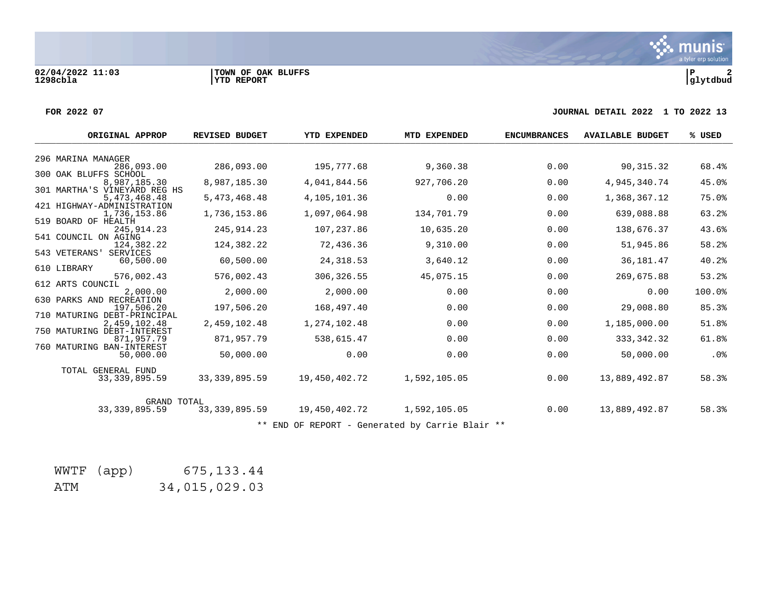**02/04/2022 11:03 |TOWN OF OAK BLUFFS |P 2**

#### **FOR 2022 07 JOURNAL DETAIL 2022 1 TO 2022 13**

| ORIGINAL APPROP                                                               | <b>REVISED BUDGET</b> | EXPENDED<br>YTD | MTD EXPENDED                                    | <b>ENCUMBRANCES</b> | <b>AVAILABLE BUDGET</b> | % USED |
|-------------------------------------------------------------------------------|-----------------------|-----------------|-------------------------------------------------|---------------------|-------------------------|--------|
| 296 MARINA MANAGER                                                            |                       |                 |                                                 |                     |                         |        |
| 286,093.00                                                                    | 286,093.00            | 195,777.68      | 9,360.38                                        | 0.00                | 90,315.32               | 68.4%  |
| 300 OAK BLUFFS SCHOOL<br>8,987,185.30                                         | 8,987,185.30          | 4,041,844.56    | 927,706.20                                      | 0.00                | 4,945,340.74            | 45.0%  |
| 301 MARTHA'S VINEYARD REG HS<br>5, 473, 468. 48<br>421 HIGHWAY-ADMINISTRATION | 5,473,468.48          | 4,105,101.36    | 0.00                                            | 0.00                | 1,368,367.12            | 75.0%  |
| 1,736,153.86                                                                  | 1,736,153.86          | 1,097,064.98    | 134,701.79                                      | 0.00                | 639,088.88              | 63.2%  |
| 519 BOARD OF HEALTH<br>245, 914. 23                                           | 245, 914.23           | 107,237.86      | 10,635.20                                       | 0.00                | 138,676.37              | 43.6%  |
| 541 COUNCIL ON AGING<br>124,382.22<br>543 VETERANS<br><b>SERVICES</b>         | 124,382.22            | 72,436.36       | 9,310.00                                        | 0.00                | 51,945.86               | 58.2%  |
| 60,500.00<br>610 LIBRARY                                                      | 60,500.00             | 24, 318.53      | 3,640.12                                        | 0.00                | 36, 181. 47             | 40.2%  |
| 576,002.43                                                                    | 576,002.43            | 306,326.55      | 45,075.15                                       | 0.00                | 269,675.88              | 53.2%  |
| 612 ARTS COUNCIL<br>2,000.00                                                  | 2,000.00              | 2,000.00        | 0.00                                            | 0.00                | 0.00                    | 100.0% |
| 630 PARKS AND RECREATION<br>197.506.20                                        | 197,506.20            | 168,497.40      | 0.00                                            | 0.00                | 29,008.80               | 85.3%  |
| 710 MATURING DEBT-PRINCIPAL<br>2,459,102.48<br>750 MATURING DEBT-INTEREST     | 2,459,102.48          | 1,274,102.48    | 0.00                                            | 0.00                | 1,185,000.00            | 51.8%  |
| 871,957.79                                                                    | 871,957.79            | 538,615.47      | 0.00                                            | 0.00                | 333, 342.32             | 61.8%  |
| 760 MATURING BAN-INTEREST<br>50,000.00                                        | 50,000.00             | 0.00            | 0.00                                            | 0.00                | 50,000.00               | $.0\%$ |
| TOTAL GENERAL FUND<br>33, 339, 895.59                                         | 33, 339, 895.59       | 19,450,402.72   | 1,592,105.05                                    | 0.00                | 13,889,492.87           | 58.3%  |
| <b>GRAND TOTAL</b><br>33, 339, 895.59                                         | 33, 339, 895.59       | 19,450,402.72   | 1,592,105.05                                    | 0.00                | 13,889,492.87           | 58.3%  |
|                                                                               |                       |                 | ** END OF REPORT - Generated by Carrie Blair ** |                     |                         |        |

|     | WWTF (app) | 675, 133.44   |
|-----|------------|---------------|
| ATM |            | 34,015,029.03 |